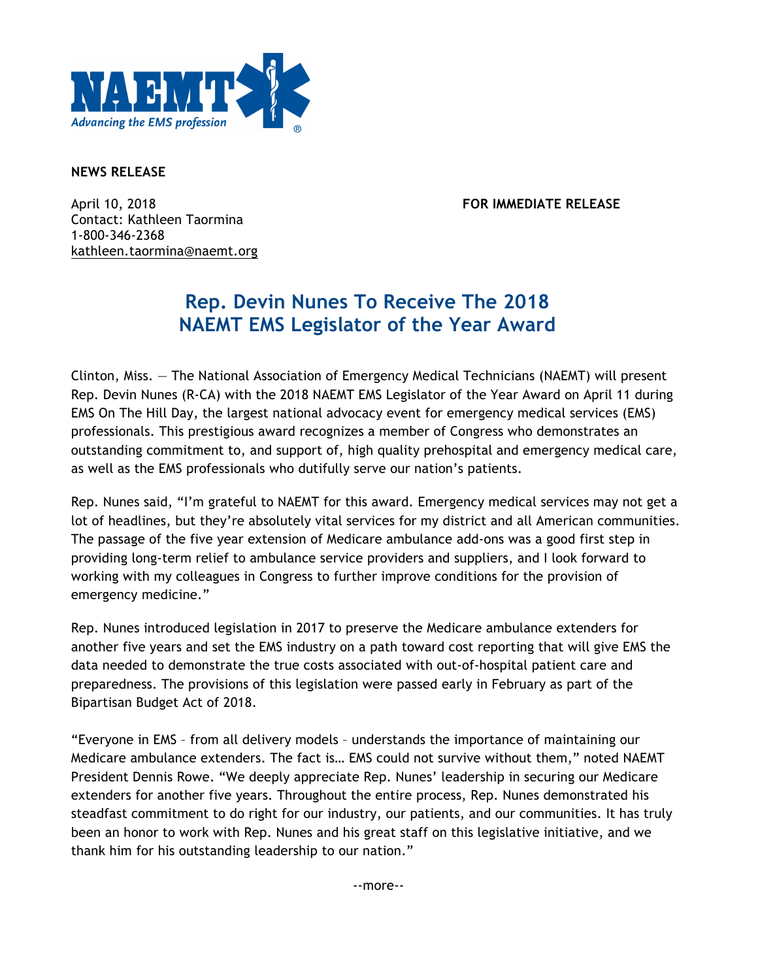

## **NEWS RELEASE**

April 10, 2018 **FOR IMMEDIATE RELEASE** Contact: Kathleen Taormina 1-800-346-2368 kathleen.taormina@naemt.org

## **Rep. Devin Nunes To Receive The 2018 NAEMT EMS Legislator of the Year Award**

Clinton, Miss. — The National Association of Emergency Medical Technicians (NAEMT) will present Rep. Devin Nunes (R-CA) with the 2018 NAEMT EMS Legislator of the Year Award on April 11 during EMS On The Hill Day, the largest national advocacy event for emergency medical services (EMS) professionals. This prestigious award recognizes a member of Congress who demonstrates an outstanding commitment to, and support of, high quality prehospital and emergency medical care, as well as the EMS professionals who dutifully serve our nation's patients.

Rep. Nunes said, "I'm grateful to NAEMT for this award. Emergency medical services may not get a lot of headlines, but they're absolutely vital services for my district and all American communities. The passage of the five year extension of Medicare ambulance add-ons was a good first step in providing long-term relief to ambulance service providers and suppliers, and I look forward to working with my colleagues in Congress to further improve conditions for the provision of emergency medicine."

Rep. Nunes introduced legislation in 2017 to preserve the Medicare ambulance extenders for another five years and set the EMS industry on a path toward cost reporting that will give EMS the data needed to demonstrate the true costs associated with out-of-hospital patient care and preparedness. The provisions of this legislation were passed early in February as part of the Bipartisan Budget Act of 2018.

"Everyone in EMS – from all delivery models – understands the importance of maintaining our Medicare ambulance extenders. The fact is… EMS could not survive without them," noted NAEMT President Dennis Rowe. "We deeply appreciate Rep. Nunes' leadership in securing our Medicare extenders for another five years. Throughout the entire process, Rep. Nunes demonstrated his steadfast commitment to do right for our industry, our patients, and our communities. It has truly been an honor to work with Rep. Nunes and his great staff on this legislative initiative, and we thank him for his outstanding leadership to our nation."

--more--